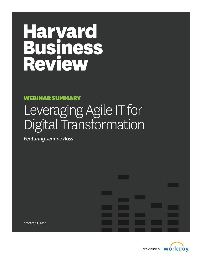# Haryard **Business**<br>Review

# WEBINAR SUMMARY

# Leveraging Agile IT for Digital Transformation

*Featuring Jeanne Ross*

OCTOBER 11, 2018

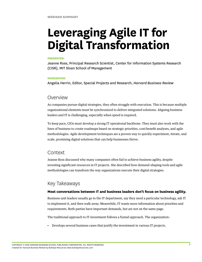# **Leveraging Agile IT for Digital Transformation**

#### **PRESENTER:**

Jeanne Ross, Principal Research Scientist, Center for Information Systems Research (CISR), MIT Sloan School of Management

#### **MODERATOR:**

Angelia Herrin, Editor, Special Projects and Research, *Harvard Business Review*

# Overview

As companies pursue digital strategies, they often struggle with execution. This is because multiple organizational elements must be synchronized to deliver integrated solutions. Aligning business leaders and IT is challenging, especially when speed is required.

To keep pace, CIOs must develop a strong IT operational backbone. They must also work with the lines of business to create roadmaps based on strategic priorities, cost/benefit analyses, and agile methodologies. Agile development techniques are a proven way to quickly experiment, iterate, and scale, promising digital solutions that can help businesses thrive.

# Context

Jeanne Ross discussed why many companies often fail to achieve business agility, despite investing significant resources in IT projects. She described how demand-shaping tools and agile methodologies can transform the way organizations execute their digital strategies.

# Key Takeaways

### **Most conversations between IT and business leaders don't focus on business agility.**

Business unit leaders usually go to the IT department, say they need a particular technology, ask IT to implement it, and then walk away. Meanwhile, IT wants more information about priorities and requirements. Both parties have important demands, but are not on the same page.

The traditional approach to IT investment follows a funnel approach. The organization:

• Develops several business cases that justify the investment in various IT projects.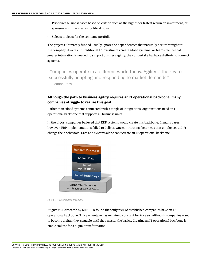- Prioritizes business cases based on criteria such as the highest or fastest return on investment, or sponsors with the greatest political power.
- Selects projects for the company portfolio.

The projects ultimately funded usually ignore the dependencies that naturally occur throughout the company. As a result, traditional IT investments create siloed systems. As teams realize that greater integration is needed to support business agility, they undertake haphazard efforts to connect systems.

"Companies operate in a different world today. Agility is the key to successfully adapting and responding to market demands."

—Jeanne Ross

# **Although the path to business agility requires an IT operational backbone, many companies struggle to realize this goal.**

Rather than siloed systems connected with a tangle of integrations, organizations need an IT operational backbone that supports all business units.

In the 1990s, companies believed that ERP systems would create this backbone. In many cases, however, ERP implementations failed to deliver. One contributing factor was that employees didn't change their behaviors. Data and systems alone can't create an IT operational backbone.



*FIGURE 1: IT OPERATIONAL BACKBONE*

August 2016 research by MIT CISR found that only 28% of established companies have an IT operational backbone. This percentage has remained constant for 11 years. Although companies want to become digital, they struggle until they master the basics. Creating an IT operational backbone is "table stakes" for a digital transformation.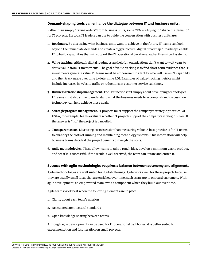#### **Demand-shaping tools can enhance the dialogue between IT and business units.**

Rather than simply "taking orders" from business units, some CIOs are trying to "shape the demand" for IT projects. Six tools IT leaders can use to guide the conversation with business units are:

- 1. **Roadmaps.** By discussing what business units want to achieve in the future, IT teams can look beyond the immediate demands and create a bigger-picture, digital "roadmap." Roadmaps enable IT to build capabilities that will support the IT operational backbone, rather than siloed systems.
- 2. **Value tracking.** Although digital roadmaps are helpful, organizations don't want to wait years to derive value from IT investments. The goal of value tracking is to find short-term evidence that IT investments generate value. IT teams must be empowered to identify who will use an IT capability and then track usage over time to determine ROI. Examples of value-tracking metrics might include increases in website traffic or reductions in customer service call times.
- 3. **Business relationship management.** The IT function isn't simply about developing technologies. IT teams must also strive to understand what the business needs to accomplish and discuss how technology can help achieve those goals.
- 4. **Strategic program management.** IT projects must support the company's strategic priorities. At USAA, for example, teams evaluate whether IT projects support the company's strategic pillars. If the answer is "no," the project is cancelled.
- 5. **Transparent costs.** Measuring costs is easier than measuring value. A best practice is for IT teams to quantify the costs of running and maintaining technology systems. This information will help business teams decide if the project benefits outweigh the costs.
- 6. **Agile methodologies.** These allow teams to take a rough idea, develop a minimum viable product, and see if it is successful. If the result is well received, the team can iterate and enrich it.

### **Success with agile methodologies requires a balance between autonomy and alignment.**

Agile methodologies are well suited for digital offerings. Agile works well for these projects because they are usually small ideas that are enriched over time, such as an app to onboard customers. With agile development, an empowered team owns a component which they build out over time.

Agile teams work best when the following elements are in place:

- 1. Clarity about each team's mission
- 2. Articulated architectural standards
- 3. Open knowledge sharing between teams

Although agile development can be used for IT operational backbones, it is better suited to experimentation and fast iteration on small projects.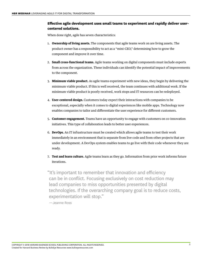# **Effective agile development uses small teams to experiment and rapidly deliver usercentered solutions.**

When done right, agile has seven characteristics:

- 1. **Ownership of living assets.** The components that agile teams work on are living assets. The product owner has a responsibility to act as a "mini-CEO," determining how to grow the component and improve it over time.
- 2. **Small cross-functional teams.** Agile teams working on digital components must include experts from across the organization. These individuals can identify the potential impact of improvements to the component.
- 3. **Minimum viable product.** As agile teams experiment with new ideas, they begin by delivering the minimum viable product. If this is well received, the team continues with additional work. If the minimum viable product is poorly received, work stops and IT resources can be redeployed.
- 4. **User-centered design.** Customers today expect their interactions with companies to be exceptional, especially when it comes to digital experiences like mobile apps. Technology now enables companies to tailor and differentiate the user experience for different customers.
- 5. **Customer engagement.** Teams have an opportunity to engage with customers on co-innovation initiatives. This type of collaboration leads to better user experiences.
- 6. **DevOps.** An IT infrastructure must be created which allows agile teams to test their work immediately in an environment that is separate from live code and from other projects that are under development. A DevOps system enables teams to go live with their code whenever they are ready.
- 7. **Test and learn culture.** Agile teams learn as they go. Information from prior work informs future iterations.

"It's important to remember that innovation and efficiency can be in conflict. Focusing exclusively on cost reduction may lead companies to miss opportunities presented by digital technologies. If the overarching company goal is to reduce costs, experimentation will stop."

—Jeanne Ross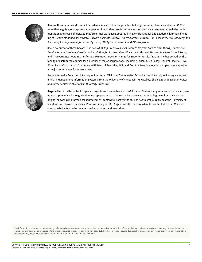

**Jeanne Ross** directs and conducts academic research that targets the challenges of senior level executives at CISR's more than eighty global sponsor companies. She studies how firms develop competitive advantage through the implementation and reuse of digitized platforms. Her work has appeared in major practitioner and academic journals, including *MIT Sloan Management Review*, *Harvard Business Review*, *The Wall Street Journal*, *MISQ Executive*, *MIS Quarterly*, the *Journal of Management Information Systems*, *IBM Systems Journal*, and *CIO Magazine*.

She is co-author of three books: *IT Savvy: What Top Executives Must Know to Go from Pain to Gain* (2009), *Enterprise Architecture as Strategy: Creating a Foundation for Business Execution* (2006) through Harvard Business School Press, and *IT Governance: How Top Performers Manage IT Decision Rights for Superior Results (2004)*. She has served on the faculty of customized courses for a number of major corporations, including PepsiCo, McKinsey, General Electric, TRW, Pfizer, News Corporation, Commonwealth Bank of Australia, IBM, and Credit Suisse. She regularly appears as a speaker at major conferences for IT executives.

Jeanne earned a BA at the University of Illinois, an MBA from The Wharton School at the University of Pennsylvania, and a PhD in Management Information Systems from the University of Wisconsin–Milwaukee. She is a founding senior editor and former editor in chief of *MIS Quarterly Executive*.



**Angelia Herrin** is the editor for special projects and research at *Harvard Business Review*. Her journalism experience spans 25 years, primarily with Knight-Ridder newspapers and *USA TODAY*, where she was the Washington editor. She won the Knight Fellowship in Professional Journalism at Stanford University in 1990. She has taught journalism at the University of Maryland and Harvard University. Prior to coming to HBR, Angelia was the vice president for content at womenConnect. com, a website focused on women business owners and executives.

The information contained in this summary reflects BullsEye Resources, Inc.'s subjective condensed summarization of the applicable conference session. There may be material errors, omissions, or inaccuracies in the reporting of the substance of the session. In no way does BullsEye Resources or Harvard Business Review assume any responsibility for any information provided or any decisions made based upon the information provided in this document.